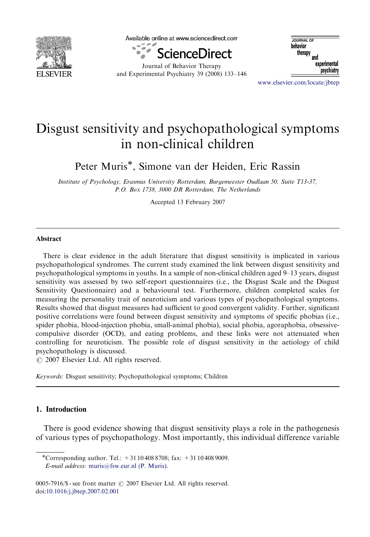

Available online at www.sciencedirect.com



Journal of Behavior Therapy and Experimental Psychiatry 39 (2008) 133–146

**IQUENAL OF** behavior therapy and experimental psychiatry

<www.elsevier.com/locate/jbtep>

## Disgust sensitivity and psychopathological symptoms in non-clinical children

Peter Muris<sup>\*</sup>, Simone van der Heiden, Eric Rassin

Institute of Psychology, Erasmus University Rotterdam, Burgemeester Oudlaan 50, Suite T13-37, P.O. Box 1738, 3000 DR Rotterdam, The Netherlands

Accepted 13 February 2007

## Abstract

There is clear evidence in the adult literature that disgust sensitivity is implicated in various psychopathological syndromes. The current study examined the link between disgust sensitivity and psychopathological symptoms in youths. In a sample of non-clinical children aged 9–13 years, disgust sensitivity was assessed by two self-report questionnaires (i.e., the Disgust Scale and the Disgust Sensitivity Questionnaire) and a behavioural test. Furthermore, children completed scales for measuring the personality trait of neuroticism and various types of psychopathological symptoms. Results showed that disgust measures had sufficient to good convergent validity. Further, significant positive correlations were found between disgust sensitivity and symptoms of specific phobias (i.e., spider phobia, blood-injection phobia, small-animal phobia), social phobia, agoraphobia, obsessivecompulsive disorder (OCD), and eating problems, and these links were not attenuated when controlling for neuroticism. The possible role of disgust sensitivity in the aetiology of child psychopathology is discussed.

 $\odot$  2007 Elsevier Ltd. All rights reserved.

Keywords: Disgust sensitivity; Psychopathological symptoms; Children

## 1. Introduction

There is good evidence showing that disgust sensitivity plays a role in the pathogenesis of various types of psychopathology. Most importantly, this individual difference variable

0005-7916/\$ - see front matter  $\odot$  2007 Elsevier Ltd. All rights reserved. doi[:10.1016/j.jbtep.2007.02.001](dx.doi.org/10.1016/j.jbtep.2007.02.001)

<sup>-</sup>Corresponding author. Tel.: +31 10 408 8708; fax: +31 10 408 9009. E-mail address: [muris@fsw.eur.nl \(P. Muris\).](mailto:muris@fsw.eur.nl)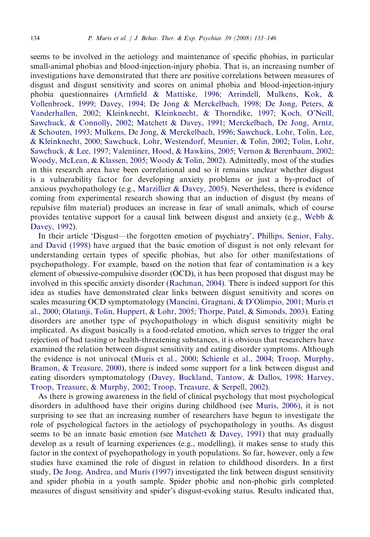seems to be involved in the aetiology and maintenance of specific phobias, in particular small-animal phobias and blood-injection-injury phobia. That is, an increasing number of investigations have demonstrated that there are positive correlations between measures of disgust and disgust sensitivity and scores on animal phobia and blood-injection-injury phobia questionnaires [\(Armfield & Mattiske, 1996;](#page--1-0) [Arrindell, Mulkens, Kok, &](#page--1-0) [Vollenbroek, 1999;](#page--1-0) [Davey, 1994;](#page--1-0) [De Jong](#page--1-0) & [Merckelbach, 1998;](#page--1-0) [De Jong, Peters, &](#page--1-0) [Vanderhallen, 2002;](#page--1-0) [Kleinknecht, Kleinknecht,](#page--1-0) & [Thorndike, 1997](#page--1-0); [Koch, O'Neill,](#page--1-0) [Sawchuck,](#page--1-0) & [Connolly, 2002](#page--1-0); [Matchett](#page--1-0) & [Davey, 1991](#page--1-0); [Merckelbach, De Jong, Arntz,](#page--1-0) [& Schouten, 1993;](#page--1-0) [Mulkens, De Jong,](#page--1-0) [& Merckelbach, 1996;](#page--1-0) [Sawchuck, Lohr, Tolin, Lee,](#page--1-0) [& Kleinknecht, 2000;](#page--1-0) [Sawchuck, Lohr, Westendorf, Meunier, & Tolin, 2002;](#page--1-0) [Tolin, Lohr,](#page--1-0) [Sawchuck, & Lee, 1997](#page--1-0); [Valentiner, Hood,](#page--1-0) & [Hawkins, 2005;](#page--1-0) [Vernon](#page--1-0) & [Berenbaum, 2002;](#page--1-0) [Woody, McLean, & Klassen, 2005](#page--1-0); [Woody](#page--1-0) & [Tolin, 2002](#page--1-0)). Admittedly, most of the studies in this research area have been correlational and so it remains unclear whether disgust is a vulnerability factor for developing anxiety problems or just a by-product of anxious psychopathology (e.g., [Marzillier](#page--1-0) [& Davey, 2005](#page--1-0)). Nevertheless, there is evidence coming from experimental research showing that an induction of disgust (by means of repulsive film material) produces an increase in fear of small animals, which of course provides tentative support for a causal link between disgust and anxiety (e.g., Webb  $\&$ [Davey, 1992\)](#page--1-0).

In their article 'Disgust—the forgotten emotion of psychiatry', [Phillips, Senior, Fahy,](#page--1-0) [and David \(1998\)](#page--1-0) have argued that the basic emotion of disgust is not only relevant for understanding certain types of specific phobias, but also for other manifestations of psychopathology. For example, based on the notion that fear of contamination is a key element of obsessive-compulsive disorder (OCD), it has been proposed that disgust may be involved in this specific anxiety disorder ([Rachman, 2004](#page--1-0)). There is indeed support for this idea as studies have demonstrated clear links between disgust sensitivity and scores on scales measuring OCD symptomatology ([Mancini, Gragnani,](#page--1-0) [& D'Olimpio, 2001](#page--1-0); [Muris et](#page--1-0) [al., 2000;](#page--1-0) [Olatunji, Tolin, Huppert, & Lohr, 2005;](#page--1-0) [Thorpe, Patel, & Simonds, 2003\)](#page--1-0). Eating disorders are another type of psychopathology in which disgust sensitivity might be implicated. As disgust basically is a food-related emotion, which serves to trigger the oral rejection of bad tasting or health-threatening substances, it is obvious that researchers have examined the relation between disgust sensitivity and eating disorder symptoms. Although the evidence is not univocal [\(Muris et al., 2000](#page--1-0); [Schienle et al., 2004;](#page--1-0) [Troop, Murphy,](#page--1-0) [Bramon,](#page--1-0) & [Treasure, 2000\)](#page--1-0), there is indeed some support for a link between disgust and eating disorders symptomatology [\(Davey, Buckland, Tantow,](#page--1-0) & [Dallos, 1998](#page--1-0); [Harvey,](#page--1-0) [Troop, Treasure, & Murphy, 2002](#page--1-0); [Troop, Treasure, & Serpell, 2002\)](#page--1-0).

As there is growing awareness in the field of clinical psychology that most psychological disorders in adulthood have their origins during childhood (see [Muris, 2006\)](#page--1-0), it is not surprising to see that an increasing number of researchers have begun to investigate the role of psychological factors in the aetiology of psychopathology in youths. As disgust seems to be an innate basic emotion (see Matchett  $\&$  Davey, 1991) that may gradually develop as a result of learning experiences (e.g., modelling), it makes sense to study this factor in the context of psychopathology in youth populations. So far, however, only a few studies have examined the role of disgust in relation to childhood disorders. In a first study, [De Jong, Andrea, and Muris \(1997\)](#page--1-0) investigated the link between disgust sensitivity and spider phobia in a youth sample. Spider phobic and non-phobic girls completed measures of disgust sensitivity and spider's disgust-evoking status. Results indicated that,